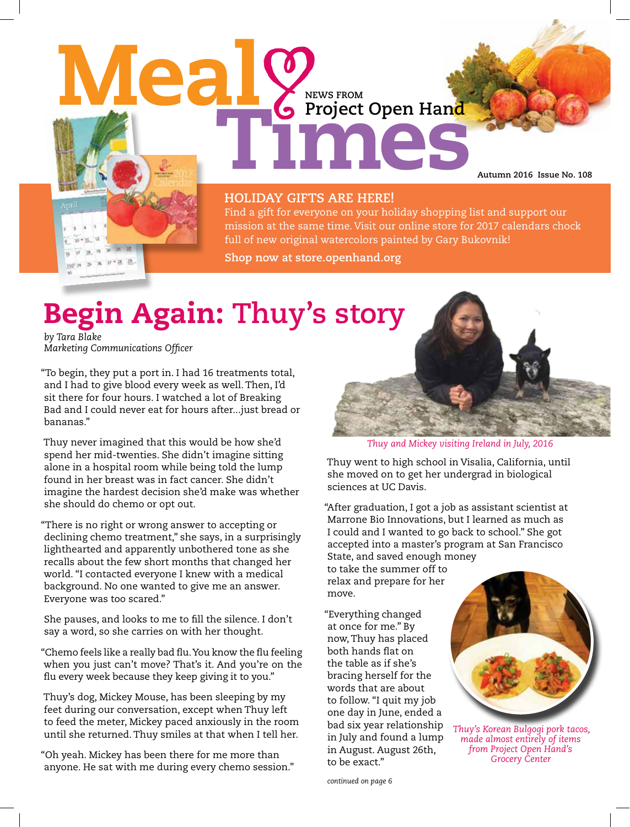Meal **NEWS FROM Project Open Hand**

**Autumn 2016 Issue No. 108**

### **HOLIDAY GIFTS ARE HERE!**

Find a gift for everyone on your holiday shopping list and support our mission at the same time. Visit our online store for 2017 calendars chock full of new original watercolors painted by Gary Bukovnik!

**Shop now at store.openhand.org**

# Begin Again: **Thuy's story**

*by Tara Blake Marketing Communications Officer*

"To begin, they put a port in. I had 16 treatments total, and I had to give blood every week as well. Then, I'd sit there for four hours. I watched a lot of Breaking Bad and I could never eat for hours after...just bread or bananas."

Thuy never imagined that this would be how she'd spend her mid-twenties. She didn't imagine sitting alone in a hospital room while being told the lump found in her breast was in fact cancer. She didn't imagine the hardest decision she'd make was whether she should do chemo or opt out.

"There is no right or wrong answer to accepting or declining chemo treatment," she says, in a surprisingly lighthearted and apparently unbothered tone as she recalls about the few short months that changed her world. "I contacted everyone I knew with a medical background. No one wanted to give me an answer. Everyone was too scared."

She pauses, and looks to me to fill the silence. I don't say a word, so she carries on with her thought.

"Chemo feels like a really bad flu. You know the flu feeling when you just can't move? That's it. And you're on the flu every week because they keep giving it to you."

Thuy's dog, Mickey Mouse, has been sleeping by my feet during our conversation, except when Thuy left to feed the meter, Mickey paced anxiously in the room until she returned. Thuy smiles at that when I tell her.

"Oh yeah. Mickey has been there for me more than anyone. He sat with me during every chemo session."



*Thuy and Mickey visiting Ireland in July, 2016* 

Thuy went to high school in Visalia, California, until she moved on to get her undergrad in biological sciences at UC Davis.

"After graduation, I got a job as assistant scientist at Marrone Bio Innovations, but I learned as much as I could and I wanted to go back to school." She got accepted into a master's program at San Francisco State, and saved enough money

to take the summer off to relax and prepare for her move.

"Everything changed at once for me." By now, Thuy has placed both hands flat on the table as if she's bracing herself for the words that are about to follow. "I quit my job one day in June, ended a bad six year relationship in July and found a lump in August. August 26th, to be exact."



*Thuy's Korean Bulgogi pork tacos, made almost entirely of items from Project Open Hand's Grocery Center*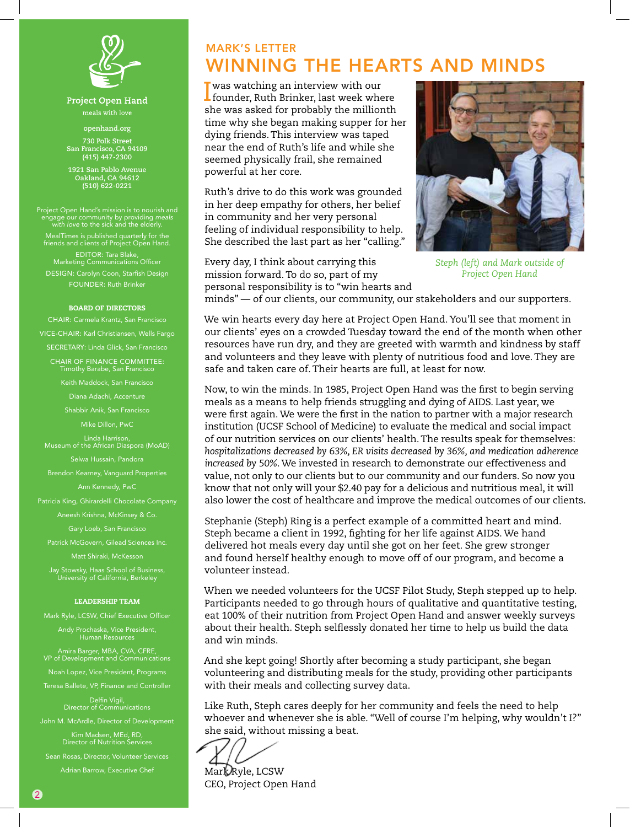

Project Open Hand

**openhand.org 730 Polk Street San Francisco, CA 94109 (415) 447-2300**

**1921 San Pablo Avenue Oakland, CA 94612 (510) 622-0221**

Project Open Hand's mission is to nourish and engage our community by providing *meals with love* to the sick and the elderly. MealTimes is published quarterly for the friends and clients of Project Open Hand. EDITOR: Tara Blake, Marketing Communications Officer DESIGN: Carolyn Coon, Starfish Design FOUNDER: Ruth Brinker

#### BOARD OF DIRECTORS

CHAIR: Carmela Krantz, San Francisco VICE-CHAIR: Karl Christiansen, Wells Fargo SECRETARY: Linda Glick, San Francisco CHAIR OF FINANCE COMMITTEE: Timothy Barabe, San Francisco

Keith Maddock, San Francisco

Diana Adachi, Accenture

Shabbir Anik, San Francisco

Mike Dillon, PwC

Linda Harrison, Museum of the African Diaspora (MoAD)

Brendon Kearney, Vanguard Properties Ann Kennedy, PwC

Patricia King, Ghirardelli Chocolate Company

Aneesh Krishna, McKinsey & Co.

Gary Loeb, San Francisco

Patrick McGovern, Gilead Sciences Inc. Matt Shiraki, McKesson

Jay Stowsky, Haas School of Business, University of California, Berkeley

### LEADERSHIP TEAM

Mark Ryle, LCSW, Chief Executive Officer

Andy Prochaska, Vice President, Human Resources

Amira Barger, MBA, CVA, CFRE, VP of Development and Communications

Noah Lopez, Vice President, Programs Teresa Ballete, VP, Finance and Controller

Delfin Vigil, Director of Communications

John M. McArdle, Director of Development

Kim Madsen, MEd, RD, Director of Nutrition Services Sean Rosas, Director, Volunteer Services Adrian Barrow, Executive Chef

# MARK'S LETTER WINNING THE HEARTS AND MINDS

**I** was watching an interview with our<br>founder, Ruth Brinker, last week whe  $\blacksquare$  founder, Ruth Brinker, last week where she was asked for probably the millionth time why she began making supper for her dying friends. This interview was taped near the end of Ruth's life and while she seemed physically frail, she remained powerful at her core.

Ruth's drive to do this work was grounded in her deep empathy for others, her belief in community and her very personal feeling of individual responsibility to help. She described the last part as her "calling."

Every day, I think about carrying this mission forward. To do so, part of my personal responsibility is to "win hearts and



*Steph (left) and Mark outside of Project Open Hand* 

minds" — of our clients, our community, our stakeholders and our supporters.

We win hearts every day here at Project Open Hand. You'll see that moment in our clients' eyes on a crowded Tuesday toward the end of the month when other resources have run dry, and they are greeted with warmth and kindness by staff and volunteers and they leave with plenty of nutritious food and love. They are safe and taken care of. Their hearts are full, at least for now.

Now, to win the minds. In 1985, Project Open Hand was the first to begin serving meals as a means to help friends struggling and dying of AIDS. Last year, we were first again. We were the first in the nation to partner with a major research institution (UCSF School of Medicine) to evaluate the medical and social impact of our nutrition services on our clients' health. The results speak for themselves: *hospitalizations decreased by 63%, ER visits decreased by 36%, and medication adherence increased by 50%*. We invested in research to demonstrate our effectiveness and value, not only to our clients but to our community and our funders. So now you know that not only will your \$2.40 pay for a delicious and nutritious meal, it will also lower the cost of healthcare and improve the medical outcomes of our clients.

Stephanie (Steph) Ring is a perfect example of a committed heart and mind. Steph became a client in 1992, fighting for her life against AIDS. We hand delivered hot meals every day until she got on her feet. She grew stronger and found herself healthy enough to move off of our program, and become a volunteer instead.

When we needed volunteers for the UCSF Pilot Study, Steph stepped up to help. Participants needed to go through hours of qualitative and quantitative testing, eat 100% of their nutrition from Project Open Hand and answer weekly surveys about their health. Steph selflessly donated her time to help us build the data and win minds.

And she kept going! Shortly after becoming a study participant, she began volunteering and distributing meals for the study, providing other participants with their meals and collecting survey data.

Like Ruth, Steph cares deeply for her community and feels the need to help whoever and whenever she is able. "Well of course I'm helping, why wouldn't I?" she said, without missing a beat.

Mark Ryle, LCSW CEO, Project Open Hand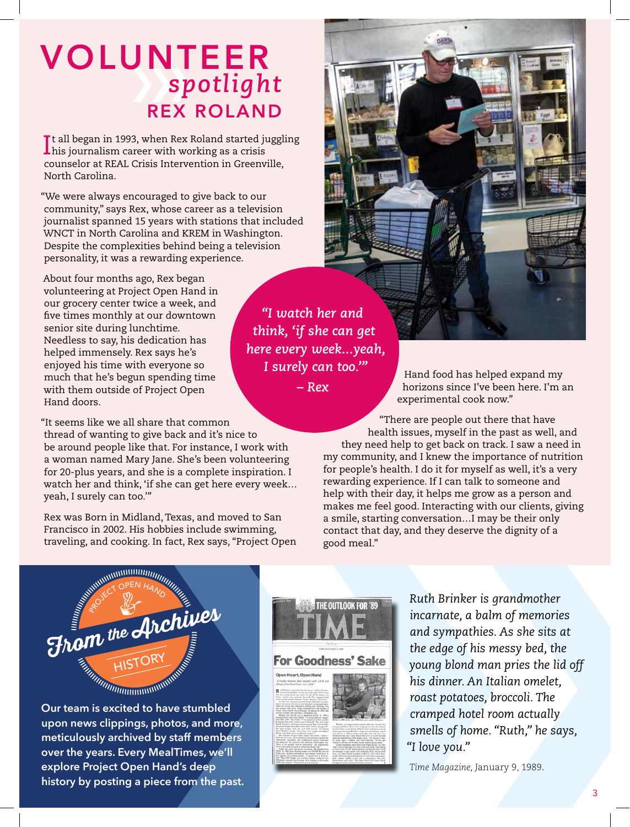# VOLUNTEER *spotlight* REX ROLAND

It all began in 1993, when Rex Roland started juggling<br>I his journalism career with working as a crisis his journalism career with working as a crisis counselor at REAL Crisis Intervention in Greenville, North Carolina.

"We were always encouraged to give back to our community," says Rex, whose career as a television journalist spanned 15 years with stations that included WNCT in North Carolina and KREM in Washington. Despite the complexities behind being a television personality, it was a rewarding experience.

About four months ago, Rex began volunteering at Project Open Hand in our grocery center twice a week, and five times monthly at our downtown senior site during lunchtime. Needless to say, his dedication has helped immensely. Rex says he's enjoyed his time with everyone so much that he's begun spending time with them outside of Project Open Hand doors.

"It seems like we all share that common thread of wanting to give back and it's nice to be around people like that. For instance, I work with a woman named Mary Jane. She's been volunteering for 20-plus years, and she is a complete inspiration. I watch her and think, 'if she can get here every week… yeah, I surely can too.'"

Rex was Born in Midland, Texas, and moved to San Francisco in 2002. His hobbies include swimming, traveling, and cooking. In fact, Rex says, "Project Open

*"I watch her and think, 'if she can get here every week...yeah, I surely can too.'"* 

*– Rex*

Hand food has helped expand my horizons since I've been here. I'm an experimental cook now."

"There are people out there that have health issues, myself in the past as well, and they need help to get back on track. I saw a need in my community, and I knew the importance of nutrition for people's health. I do it for myself as well, it's a very rewarding experience. If I can talk to someone and help with their day, it helps me grow as a person and makes me feel good. Interacting with our clients, giving a smile, starting conversation…I may be their only contact that day, and they deserve the dignity of a good meal."



**Our team is excited to have stumbled upon news clippings, photos, and more, meticulously archived by staff members over the years. Every MealTimes, we'll explore Project Open Hand's deep history by posting a piece from the past.** 



 **` `** *Ruth Brinker is grandmother incarnate, a balm of memories and sympathies. As she sits at the edge of his messy bed, the young blond man pries the lid off his dinner. An Italian omelet, roast potatoes, broccoli. The cramped hotel room actually smells of home. "Ruth," he says, "I love you."*

*Time Magazine,* January 9, 1989*.*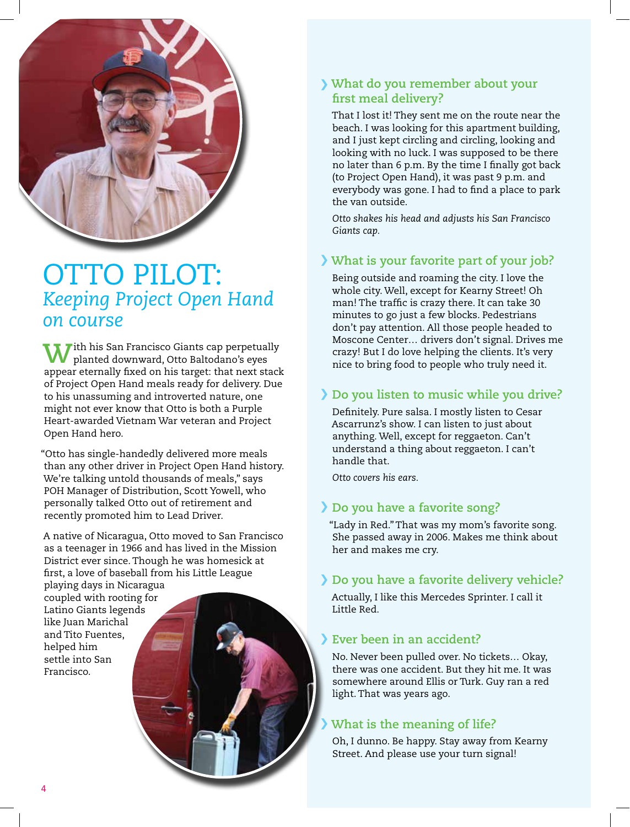

# OTTO PILOT: *Keeping Project Open Hand on course*

**Tith his San Francisco Giants cap perpetually** planted downward, Otto Baltodano's eyes appear eternally fixed on his target: that next stack of Project Open Hand meals ready for delivery. Due to his unassuming and introverted nature, one might not ever know that Otto is both a Purple Heart-awarded Vietnam War veteran and Project Open Hand hero.

"Otto has single-handedly delivered more meals than any other driver in Project Open Hand history. We're talking untold thousands of meals," says POH Manager of Distribution, Scott Yowell, who personally talked Otto out of retirement and recently promoted him to Lead Driver.

A native of Nicaragua, Otto moved to San Francisco as a teenager in 1966 and has lived in the Mission District ever since. Though he was homesick at first, a love of baseball from his Little League

playing days in Nicaragua coupled with rooting for Latino Giants legends like Juan Marichal and Tito Fuentes, helped him settle into San Francisco.

## **What do you remember about your first meal delivery?**

That I lost it! They sent me on the route near the beach. I was looking for this apartment building, and I just kept circling and circling, looking and looking with no luck. I was supposed to be there no later than 6 p.m. By the time I finally got back (to Project Open Hand), it was past 9 p.m. and everybody was gone. I had to find a place to park the van outside.

*Otto shakes his head and adjusts his San Francisco Giants cap.*

## **What is your favorite part of your job?**

Being outside and roaming the city. I love the whole city. Well, except for Kearny Street! Oh man! The traffic is crazy there. It can take 30 minutes to go just a few blocks. Pedestrians don't pay attention. All those people headed to Moscone Center… drivers don't signal. Drives me crazy! But I do love helping the clients. It's very nice to bring food to people who truly need it.

## **Do you listen to music while you drive?**

Definitely. Pure salsa. I mostly listen to Cesar Ascarrunz's show. I can listen to just about anything. Well, except for reggaeton. Can't understand a thing about reggaeton. I can't handle that.

*Otto covers his ears.*

# **Do you have a favorite song?**

"Lady in Red." That was my mom's favorite song. She passed away in 2006. Makes me think about her and makes me cry.

### **Do you have a favorite delivery vehicle?**

Actually, I like this Mercedes Sprinter. I call it Little Red.

### **Ever been in an accident?**

No. Never been pulled over. No tickets… Okay, there was one accident. But they hit me. It was somewhere around Ellis or Turk. Guy ran a red light. That was years ago.

# **What is the meaning of life?**

Oh, I dunno. Be happy. Stay away from Kearny Street. And please use your turn signal!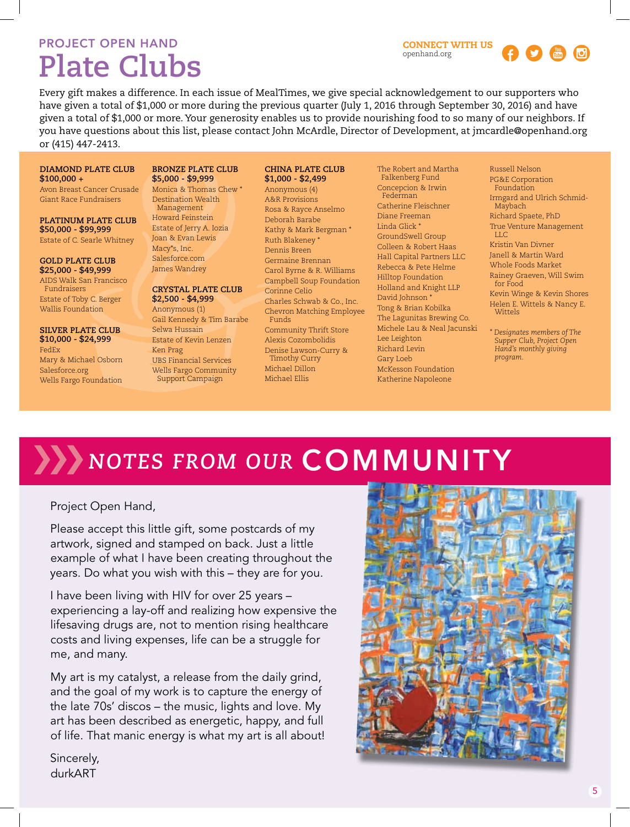# PROJECT OPEN HAND

# **Plate Clubs**



Every gift makes a difference. In each issue of MealTimes, we give special acknowledgement to our supporters who have given a total of \$1,000 or more during the previous quarter (July 1, 2016 through September 30, 2016) and have given a total of \$1,000 or more. Your generosity enables us to provide nourishing food to so many of our neighbors. If you have questions about this list, please contact John McArdle, Director of Development, at jmcardle@openhand.org or (415) 447-2413.

### **DIAMOND PLATE CLUB \$100,000 +**

Avon Breast Cancer Crusade Giant Race Fundraisers

**PLATINUM PLATE CLUB \$50,000 - \$99,999** Estate of C. Searle Whitney

**GOLD PLATE CLUB \$25,000 - \$49,999**

AIDS Walk San Francisco Fundraisers Estate of Toby C. Berger Wallis Foundation

**SILVER PLATE CLUB \$10,000 - \$24,999** FedEx

Mary & Michael Osborn Salesforce.org Wells Fargo Foundation

#### **BRONZE PLATE CLUB \$5,000 - \$9,999**

Monica & Thomas Chew \* Destination Wealth Management Howard Feinstein Estate of Jerry A. Iozia Joan & Evan Lewis Macy\*s, Inc. Salesforce.com James Wandrey

### **CRYSTAL PLATE CLUB**

**\$2,500 - \$4,999** Anonymous (1) Gail Kennedy & Tim Barabe Selwa Hussain Estate of Kevin Lenzen Ken Prag UBS Financial Services Wells Fargo Community Support Campaign

#### **CHINA PLATE CLUB \$1,000 - \$2,499**

Anonymous (4) A&R Provisions Rosa & Rayce Anselmo Deborah Barabe Kathy & Mark Bergman \* Ruth Blakeney \* Dennis Breen Germaine Brennan Carol Byrne & R. Williams Campbell Soup Foundation Corinne Celio Charles Schwab & Co., Inc. Chevron Matching Employee Funds Community Thrift Store Alexis Cozombolidis Denise Lawson-Curry & Timothy Curry Michael Dillon Michael Ellis

The Robert and Martha Falkenberg Fund Concepcion & Irwin Federman Catherine Fleischner Diane Freeman Linda Glick \* GroundSwell Group Colleen & Robert Haas Hall Capital Partners LLC Rebecca & Pete Helme Hilltop Foundation Holland and Knight LLP David Johnson \* Tong & Brian Kobilka The Lagunitas Brewing Co. Michele Lau & Neal Jacunski Lee Leighton Richard Levin Gary Loeb McKesson Foundation Katherine Napoleone

Russell Nelson PG&E Corporation Foundation Irmgard and Ulrich Schmid-Maybach Richard Spaete, PhD True Venture Management LLC Kristin Van Divner Janell & Martin Ward Whole Foods Market Rainey Graeven, Will Swim for Food Kevin Winge & Kevin Shores Helen E. Wittels & Nancy E. Wittels

*\* Designates members of The Supper Club, Project Open Hand's monthly giving program.*

# *NOTES FROM OUR COMMUNITY*

Project Open Hand,

Please accept this little gift, some postcards of my artwork, signed and stamped on back. Just a little example of what I have been creating throughout the years. Do what you wish with this – they are for you.

I have been living with HIV for over 25 years – experiencing a lay-off and realizing how expensive the lifesaving drugs are, not to mention rising healthcare costs and living expenses, life can be a struggle for me, and many.

My art is my catalyst, a release from the daily grind, and the goal of my work is to capture the energy of the late 70s' discos – the music, lights and love. My art has been described as energetic, happy, and full of life. That manic energy is what my art is all about!

Sincerely, durkART